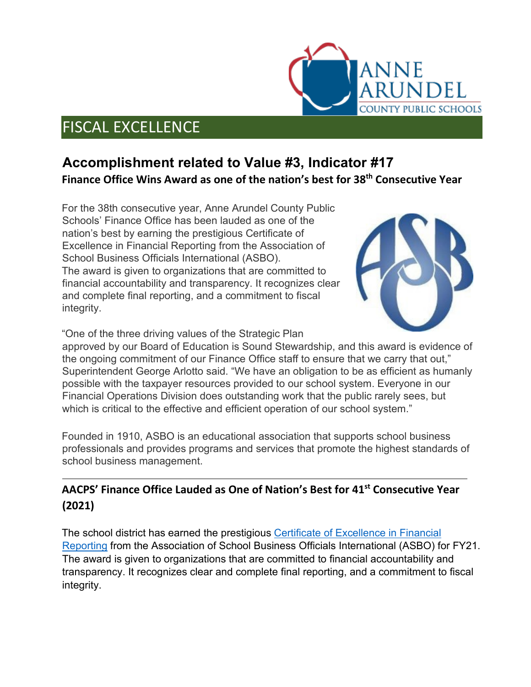# FISCAL EXCELLENCE

## **Accomplishment related to Value #3, Indicator #17 Finance Office Wins Award as one of the nation's best for 38th Consecutive Year**

For the 38th consecutive year, Anne Arundel County Public Schools' Finance Office has been lauded as one of the nation's best by earning the prestigious Certificate of Excellence in Financial Reporting from the Association of School Business Officials International (ASBO). The award is given to organizations that are committed to financial accountability and transparency. It recognizes clear and complete final reporting, and a commitment to fiscal integrity.



anne

DEL

**OUNTY PUBLIC SCHOOLS** 

"One of the three driving values of the Strategic Plan

approved by our Board of Education is Sound Stewardship, and this award is evidence of the ongoing commitment of our Finance Office staff to ensure that we carry that out," Superintendent George Arlotto said. "We have an obligation to be as efficient as humanly possible with the taxpayer resources provided to our school system. Everyone in our Financial Operations Division does outstanding work that the public rarely sees, but which is critical to the effective and efficient operation of our school system."

Founded in 1910, ASBO is an educational association that supports school business professionals and provides programs and services that promote the highest standards of school business management.

#### **AACPS' Finance Office Lauded as One of Nation's Best for 41st Consecutive Year (2021)**

The school district has earned the prestigious [Certificate of Excellence in Financial](https://asbointl.org/Web/Awards/Certificate_of_Excellence/Web/Awards/COE/Certificate_of_Excellence.aspx?hkey=03d48cb9-25d6-413b-84d1-f9f481c50773)  [Reporting](https://asbointl.org/Web/Awards/Certificate_of_Excellence/Web/Awards/COE/Certificate_of_Excellence.aspx?hkey=03d48cb9-25d6-413b-84d1-f9f481c50773) from the Association of School Business Officials International (ASBO) for FY21. The award is given to organizations that are committed to financial accountability and transparency. It recognizes clear and complete final reporting, and a commitment to fiscal integrity.